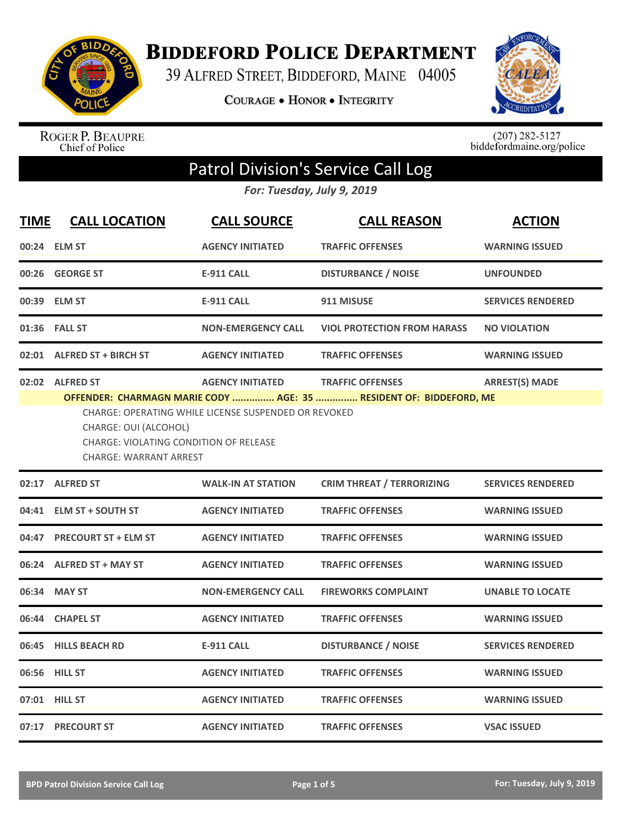

**BIDDEFORD POLICE DEPARTMENT** 

39 ALFRED STREET, BIDDEFORD, MAINE 04005

COURAGE . HONOR . INTEGRITY



ROGER P. BEAUPRE<br>Chief of Police

 $(207)$  282-5127<br>biddefordmaine.org/police

## Patrol Division's Service Call Log

*For: Tuesday, July 9, 2019*

| <b>TIME</b> | <b>CALL LOCATION</b>                                                                                                                                                                                                                                                                                                                    | <b>CALL SOURCE</b>        | <b>CALL REASON</b>                 | <b>ACTION</b>            |  |
|-------------|-----------------------------------------------------------------------------------------------------------------------------------------------------------------------------------------------------------------------------------------------------------------------------------------------------------------------------------------|---------------------------|------------------------------------|--------------------------|--|
|             | 00:24 ELM ST                                                                                                                                                                                                                                                                                                                            | <b>AGENCY INITIATED</b>   | <b>TRAFFIC OFFENSES</b>            | <b>WARNING ISSUED</b>    |  |
|             | 00:26 GEORGE ST                                                                                                                                                                                                                                                                                                                         | <b>E-911 CALL</b>         | <b>DISTURBANCE / NOISE</b>         | <b>UNFOUNDED</b>         |  |
|             | 00:39 ELM ST                                                                                                                                                                                                                                                                                                                            | <b>E-911 CALL</b>         | 911 MISUSE                         | <b>SERVICES RENDERED</b> |  |
|             | 01:36 FALL ST                                                                                                                                                                                                                                                                                                                           | <b>NON-EMERGENCY CALL</b> | <b>VIOL PROTECTION FROM HARASS</b> | <b>NO VIOLATION</b>      |  |
|             | 02:01 ALFRED ST + BIRCH ST                                                                                                                                                                                                                                                                                                              | <b>AGENCY INITIATED</b>   | <b>TRAFFIC OFFENSES</b>            | <b>WARNING ISSUED</b>    |  |
|             | 02:02 ALFRED ST<br><b>AGENCY INITIATED</b><br><b>TRAFFIC OFFENSES</b><br><b>ARREST(S) MADE</b><br>OFFENDER: CHARMAGN MARIE CODY  AGE: 35  RESIDENT OF: BIDDEFORD, ME<br><b>CHARGE: OPERATING WHILE LICENSE SUSPENDED OR REVOKED</b><br>CHARGE: OUI (ALCOHOL)<br>CHARGE: VIOLATING CONDITION OF RELEASE<br><b>CHARGE: WARRANT ARREST</b> |                           |                                    |                          |  |
|             | 02:17 ALFRED ST                                                                                                                                                                                                                                                                                                                         | <b>WALK-IN AT STATION</b> | <b>CRIM THREAT / TERRORIZING</b>   | <b>SERVICES RENDERED</b> |  |
|             | 04:41 ELM ST + SOUTH ST                                                                                                                                                                                                                                                                                                                 | <b>AGENCY INITIATED</b>   | <b>TRAFFIC OFFENSES</b>            | <b>WARNING ISSUED</b>    |  |
|             | 04:47 PRECOURT ST + ELM ST                                                                                                                                                                                                                                                                                                              | <b>AGENCY INITIATED</b>   | <b>TRAFFIC OFFENSES</b>            | <b>WARNING ISSUED</b>    |  |
| 06:24       | <b>ALFRED ST + MAY ST</b>                                                                                                                                                                                                                                                                                                               | <b>AGENCY INITIATED</b>   | <b>TRAFFIC OFFENSES</b>            | <b>WARNING ISSUED</b>    |  |
| 06:34       | <b>MAY ST</b>                                                                                                                                                                                                                                                                                                                           | <b>NON-EMERGENCY CALL</b> | <b>FIREWORKS COMPLAINT</b>         | <b>UNABLE TO LOCATE</b>  |  |
|             | 06:44 CHAPEL ST                                                                                                                                                                                                                                                                                                                         | <b>AGENCY INITIATED</b>   | <b>TRAFFIC OFFENSES</b>            | <b>WARNING ISSUED</b>    |  |
|             | 06:45 HILLS BEACH RD                                                                                                                                                                                                                                                                                                                    | <b>E-911 CALL</b>         | <b>DISTURBANCE / NOISE</b>         | <b>SERVICES RENDERED</b> |  |
|             | 06:56 HILL ST                                                                                                                                                                                                                                                                                                                           | <b>AGENCY INITIATED</b>   | <b>TRAFFIC OFFENSES</b>            | <b>WARNING ISSUED</b>    |  |
|             | 07:01 HILL ST                                                                                                                                                                                                                                                                                                                           | <b>AGENCY INITIATED</b>   | <b>TRAFFIC OFFENSES</b>            | <b>WARNING ISSUED</b>    |  |
|             | 07:17 PRECOURT ST                                                                                                                                                                                                                                                                                                                       | <b>AGENCY INITIATED</b>   | <b>TRAFFIC OFFENSES</b>            | <b>VSAC ISSUED</b>       |  |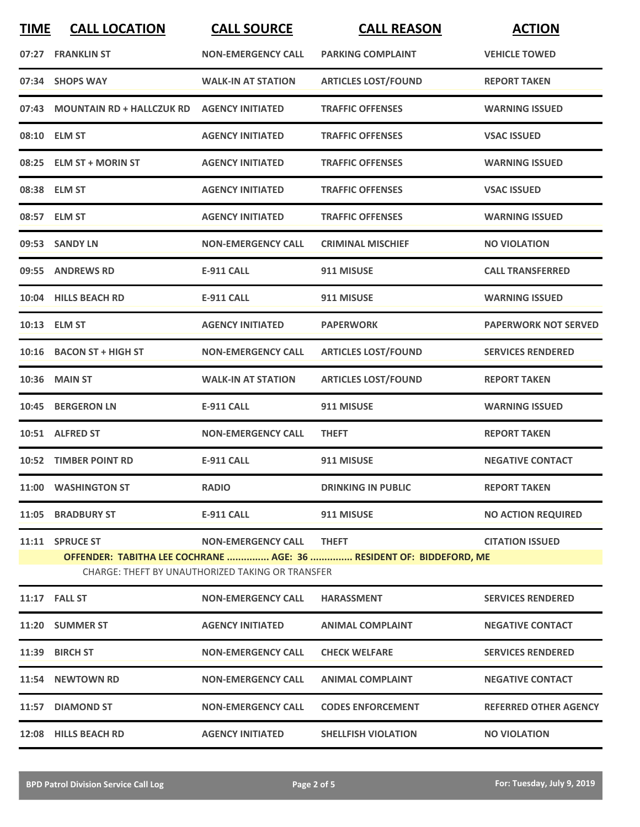| <b>TIME</b>                                                                                                                    | <b>CALL LOCATION</b>                             | <b>CALL SOURCE</b>        | <b>CALL REASON</b>         | <b>ACTION</b>                |
|--------------------------------------------------------------------------------------------------------------------------------|--------------------------------------------------|---------------------------|----------------------------|------------------------------|
|                                                                                                                                | 07:27 FRANKLIN ST                                | <b>NON-EMERGENCY CALL</b> | <b>PARKING COMPLAINT</b>   | <b>VEHICLE TOWED</b>         |
|                                                                                                                                | 07:34 SHOPS WAY                                  | <b>WALK-IN AT STATION</b> | <b>ARTICLES LOST/FOUND</b> | <b>REPORT TAKEN</b>          |
|                                                                                                                                | 07:43 MOUNTAIN RD + HALLCZUK RD AGENCY INITIATED |                           | <b>TRAFFIC OFFENSES</b>    | <b>WARNING ISSUED</b>        |
|                                                                                                                                | 08:10 ELM ST                                     | <b>AGENCY INITIATED</b>   | <b>TRAFFIC OFFENSES</b>    | <b>VSAC ISSUED</b>           |
|                                                                                                                                | 08:25 ELM ST + MORIN ST                          | <b>AGENCY INITIATED</b>   | <b>TRAFFIC OFFENSES</b>    | <b>WARNING ISSUED</b>        |
|                                                                                                                                | 08:38 ELM ST                                     | <b>AGENCY INITIATED</b>   | <b>TRAFFIC OFFENSES</b>    | <b>VSAC ISSUED</b>           |
|                                                                                                                                | 08:57 ELM ST                                     | <b>AGENCY INITIATED</b>   | <b>TRAFFIC OFFENSES</b>    | <b>WARNING ISSUED</b>        |
|                                                                                                                                | 09:53 SANDY LN                                   | <b>NON-EMERGENCY CALL</b> | <b>CRIMINAL MISCHIEF</b>   | <b>NO VIOLATION</b>          |
|                                                                                                                                | 09:55 ANDREWS RD                                 | <b>E-911 CALL</b>         | 911 MISUSE                 | <b>CALL TRANSFERRED</b>      |
|                                                                                                                                | 10:04 HILLS BEACH RD                             | <b>E-911 CALL</b>         | 911 MISUSE                 | <b>WARNING ISSUED</b>        |
|                                                                                                                                | 10:13 ELM ST                                     | <b>AGENCY INITIATED</b>   | <b>PAPERWORK</b>           | <b>PAPERWORK NOT SERVED</b>  |
|                                                                                                                                | 10:16 BACON ST + HIGH ST                         | <b>NON-EMERGENCY CALL</b> | <b>ARTICLES LOST/FOUND</b> | <b>SERVICES RENDERED</b>     |
|                                                                                                                                | 10:36 MAIN ST                                    | <b>WALK-IN AT STATION</b> | <b>ARTICLES LOST/FOUND</b> | <b>REPORT TAKEN</b>          |
|                                                                                                                                | 10:45 BERGERON LN                                | <b>E-911 CALL</b>         | 911 MISUSE                 | <b>WARNING ISSUED</b>        |
|                                                                                                                                | 10:51 ALFRED ST                                  | <b>NON-EMERGENCY CALL</b> | <b>THEFT</b>               | <b>REPORT TAKEN</b>          |
|                                                                                                                                | <b>10:52 TIMBER POINT RD</b>                     | <b>E-911 CALL</b>         | 911 MISUSE                 | <b>NEGATIVE CONTACT</b>      |
|                                                                                                                                | 11:00 WASHINGTON ST                              | <b>RADIO</b>              | <b>DRINKING IN PUBLIC</b>  | <b>REPORT TAKEN</b>          |
|                                                                                                                                | 11:05 BRADBURY ST                                | E-911 CALL                | 911 MISUSE                 | <b>NO ACTION REQUIRED</b>    |
|                                                                                                                                | 11:11 SPRUCE ST                                  | <b>NON-EMERGENCY CALL</b> | <b>THEFT</b>               | <b>CITATION ISSUED</b>       |
| OFFENDER: TABITHA LEE COCHRANE  AGE: 36  RESIDENT OF: BIDDEFORD, ME<br><b>CHARGE: THEFT BY UNAUTHORIZED TAKING OR TRANSFER</b> |                                                  |                           |                            |                              |
|                                                                                                                                | <b>11:17 FALL ST</b>                             | <b>NON-EMERGENCY CALL</b> | <b>HARASSMENT</b>          | <b>SERVICES RENDERED</b>     |
|                                                                                                                                | 11:20 SUMMER ST                                  | <b>AGENCY INITIATED</b>   | <b>ANIMAL COMPLAINT</b>    | <b>NEGATIVE CONTACT</b>      |
|                                                                                                                                | 11:39 BIRCH ST                                   | <b>NON-EMERGENCY CALL</b> | <b>CHECK WELFARE</b>       | <b>SERVICES RENDERED</b>     |
|                                                                                                                                | 11:54 NEWTOWN RD                                 | <b>NON-EMERGENCY CALL</b> | <b>ANIMAL COMPLAINT</b>    | <b>NEGATIVE CONTACT</b>      |
|                                                                                                                                | 11:57 DIAMOND ST                                 | <b>NON-EMERGENCY CALL</b> | <b>CODES ENFORCEMENT</b>   | <b>REFERRED OTHER AGENCY</b> |
|                                                                                                                                | 12:08 HILLS BEACH RD                             | <b>AGENCY INITIATED</b>   | <b>SHELLFISH VIOLATION</b> | <b>NO VIOLATION</b>          |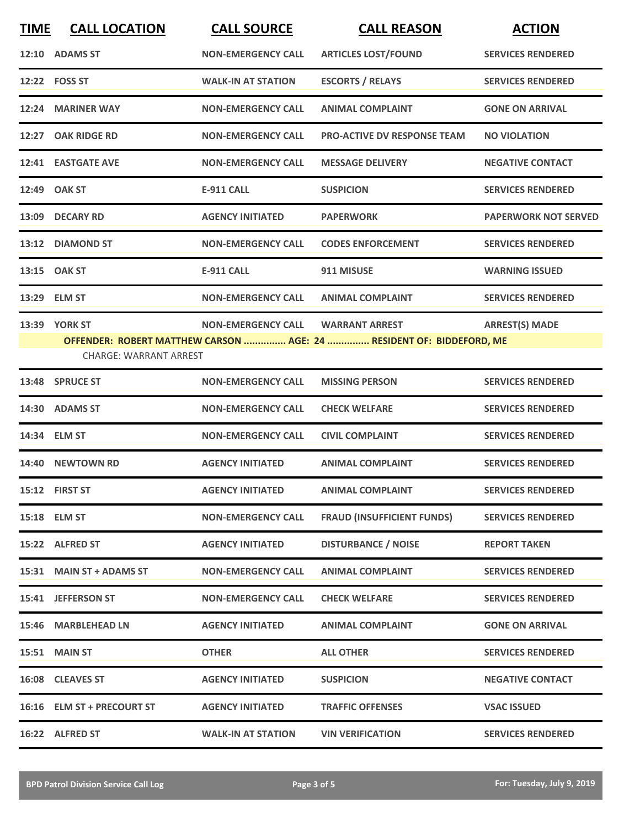| <b>TIME</b> | <b>CALL LOCATION</b>          | <b>CALL SOURCE</b>        | <b>CALL REASON</b>                                                   | <b>ACTION</b>               |
|-------------|-------------------------------|---------------------------|----------------------------------------------------------------------|-----------------------------|
|             | 12:10 ADAMS ST                | <b>NON-EMERGENCY CALL</b> | <b>ARTICLES LOST/FOUND</b>                                           | <b>SERVICES RENDERED</b>    |
|             | 12:22    FOSS ST              | <b>WALK-IN AT STATION</b> | <b>ESCORTS / RELAYS</b>                                              | <b>SERVICES RENDERED</b>    |
| 12:24       | <b>MARINER WAY</b>            | <b>NON-EMERGENCY CALL</b> | <b>ANIMAL COMPLAINT</b>                                              | <b>GONE ON ARRIVAL</b>      |
| 12:27       | <b>OAK RIDGE RD</b>           | <b>NON-EMERGENCY CALL</b> | <b>PRO-ACTIVE DV RESPONSE TEAM</b>                                   | <b>NO VIOLATION</b>         |
|             | 12:41 EASTGATE AVE            | <b>NON-EMERGENCY CALL</b> | <b>MESSAGE DELIVERY</b>                                              | <b>NEGATIVE CONTACT</b>     |
|             | 12:49 OAK ST                  | <b>E-911 CALL</b>         | <b>SUSPICION</b>                                                     | <b>SERVICES RENDERED</b>    |
| 13:09       | <b>DECARY RD</b>              | <b>AGENCY INITIATED</b>   | <b>PAPERWORK</b>                                                     | <b>PAPERWORK NOT SERVED</b> |
|             | 13:12 DIAMOND ST              | <b>NON-EMERGENCY CALL</b> | <b>CODES ENFORCEMENT</b>                                             | <b>SERVICES RENDERED</b>    |
|             | 13:15 OAK ST                  | <b>E-911 CALL</b>         | 911 MISUSE                                                           | <b>WARNING ISSUED</b>       |
|             | 13:29 ELM ST                  | <b>NON-EMERGENCY CALL</b> | <b>ANIMAL COMPLAINT</b>                                              | <b>SERVICES RENDERED</b>    |
|             | 13:39 YORK ST                 | <b>NON-EMERGENCY CALL</b> | <b>WARRANT ARREST</b>                                                | <b>ARREST(S) MADE</b>       |
|             | <b>CHARGE: WARRANT ARREST</b> |                           | OFFENDER: ROBERT MATTHEW CARSON  AGE: 24  RESIDENT OF: BIDDEFORD, ME |                             |
|             | 13:48 SPRUCE ST               | <b>NON-EMERGENCY CALL</b> | <b>MISSING PERSON</b>                                                | <b>SERVICES RENDERED</b>    |
| 14:30       | <b>ADAMS ST</b>               | <b>NON-EMERGENCY CALL</b> | <b>CHECK WELFARE</b>                                                 | <b>SERVICES RENDERED</b>    |
|             | 14:34 ELM ST                  | <b>NON-EMERGENCY CALL</b> | <b>CIVIL COMPLAINT</b>                                               | <b>SERVICES RENDERED</b>    |
|             | 14:40 NEWTOWN RD              | <b>AGENCY INITIATED</b>   | <b>ANIMAL COMPLAINT</b>                                              | <b>SERVICES RENDERED</b>    |
|             | 15:12 FIRST ST                | <b>AGENCY INITIATED</b>   | <b>ANIMAL COMPLAINT</b>                                              | <b>SERVICES RENDERED</b>    |
|             | 15:18 ELM ST                  | <b>NON-EMERGENCY CALL</b> | <b>FRAUD (INSUFFICIENT FUNDS)</b>                                    | <b>SERVICES RENDERED</b>    |
|             | 15:22 ALFRED ST               | <b>AGENCY INITIATED</b>   | <b>DISTURBANCE / NOISE</b>                                           | <b>REPORT TAKEN</b>         |
|             | 15:31 MAIN ST + ADAMS ST      | <b>NON-EMERGENCY CALL</b> | <b>ANIMAL COMPLAINT</b>                                              | <b>SERVICES RENDERED</b>    |
|             | 15:41 JEFFERSON ST            | <b>NON-EMERGENCY CALL</b> | <b>CHECK WELFARE</b>                                                 | <b>SERVICES RENDERED</b>    |
|             | 15:46 MARBLEHEAD LN           | <b>AGENCY INITIATED</b>   | <b>ANIMAL COMPLAINT</b>                                              | <b>GONE ON ARRIVAL</b>      |
|             | <b>15:51 MAIN ST</b>          | <b>OTHER</b>              | <b>ALL OTHER</b>                                                     | <b>SERVICES RENDERED</b>    |
|             | 16:08 CLEAVES ST              | <b>AGENCY INITIATED</b>   | <b>SUSPICION</b>                                                     | <b>NEGATIVE CONTACT</b>     |
|             | 16:16 ELM ST + PRECOURT ST    | <b>AGENCY INITIATED</b>   | <b>TRAFFIC OFFENSES</b>                                              | <b>VSAC ISSUED</b>          |
|             | 16:22 ALFRED ST               | <b>WALK-IN AT STATION</b> | <b>VIN VERIFICATION</b>                                              | <b>SERVICES RENDERED</b>    |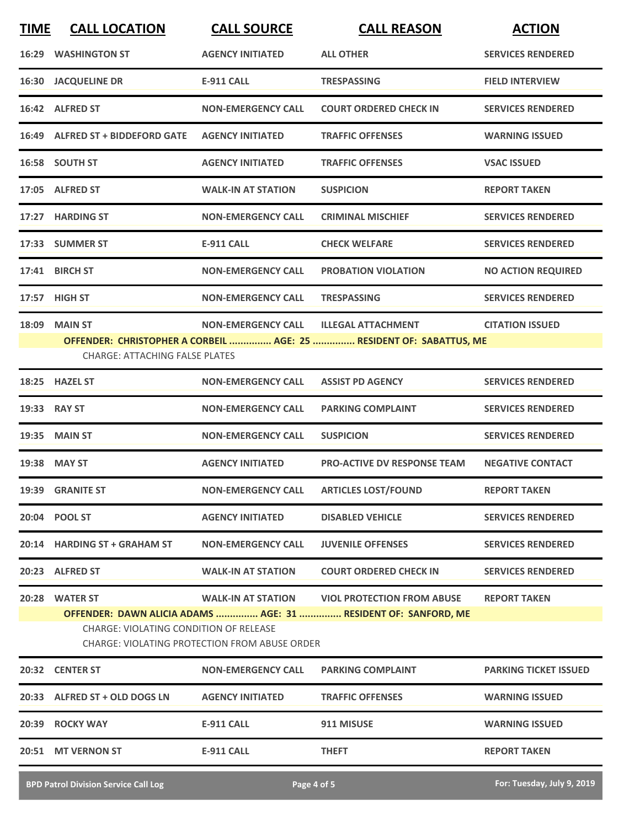| <b>TIME</b> | <b>CALL LOCATION</b>                                                                           | <b>CALL SOURCE</b>                     | <b>CALL REASON</b>                                                  | <b>ACTION</b>                |  |
|-------------|------------------------------------------------------------------------------------------------|----------------------------------------|---------------------------------------------------------------------|------------------------------|--|
|             | <b>16:29 WASHINGTON ST</b>                                                                     | <b>AGENCY INITIATED</b>                | <b>ALL OTHER</b>                                                    | <b>SERVICES RENDERED</b>     |  |
|             | <b>16:30 JACQUELINE DR</b>                                                                     | <b>E-911 CALL</b>                      | <b>TRESPASSING</b>                                                  | <b>FIELD INTERVIEW</b>       |  |
|             | 16:42 ALFRED ST                                                                                | <b>NON-EMERGENCY CALL</b>              | <b>COURT ORDERED CHECK IN</b>                                       | <b>SERVICES RENDERED</b>     |  |
|             | 16:49 ALFRED ST + BIDDEFORD GATE                                                               | <b>AGENCY INITIATED</b>                | <b>TRAFFIC OFFENSES</b>                                             | <b>WARNING ISSUED</b>        |  |
|             | 16:58 SOUTH ST                                                                                 | <b>AGENCY INITIATED</b>                | <b>TRAFFIC OFFENSES</b>                                             | <b>VSAC ISSUED</b>           |  |
|             | 17:05 ALFRED ST                                                                                | <b>WALK-IN AT STATION</b>              | <b>SUSPICION</b>                                                    | <b>REPORT TAKEN</b>          |  |
|             | 17:27 HARDING ST                                                                               | <b>NON-EMERGENCY CALL</b>              | <b>CRIMINAL MISCHIEF</b>                                            | <b>SERVICES RENDERED</b>     |  |
|             | 17:33 SUMMER ST                                                                                | <b>E-911 CALL</b>                      | <b>CHECK WELFARE</b>                                                | <b>SERVICES RENDERED</b>     |  |
|             | 17:41 BIRCH ST                                                                                 | <b>NON-EMERGENCY CALL</b>              | <b>PROBATION VIOLATION</b>                                          | <b>NO ACTION REQUIRED</b>    |  |
|             | 17:57 HIGH ST                                                                                  | <b>NON-EMERGENCY CALL</b>              | <b>TRESPASSING</b>                                                  | <b>SERVICES RENDERED</b>     |  |
|             | <b>18:09 MAIN ST</b>                                                                           | <b>NON-EMERGENCY CALL</b>              | <b>ILLEGAL ATTACHMENT</b>                                           | <b>CITATION ISSUED</b>       |  |
|             |                                                                                                |                                        | OFFENDER: CHRISTOPHER A CORBEIL  AGE: 25  RESIDENT OF: SABATTUS, ME |                              |  |
|             | <b>CHARGE: ATTACHING FALSE PLATES</b>                                                          |                                        |                                                                     |                              |  |
|             | 18:25 HAZEL ST                                                                                 | <b>NON-EMERGENCY CALL</b>              | <b>ASSIST PD AGENCY</b>                                             | <b>SERVICES RENDERED</b>     |  |
|             | 19:33 RAY ST                                                                                   | <b>NON-EMERGENCY CALL</b>              | <b>PARKING COMPLAINT</b>                                            | <b>SERVICES RENDERED</b>     |  |
|             | <b>19:35 MAIN ST</b>                                                                           | <b>NON-EMERGENCY CALL</b>              | <b>SUSPICION</b>                                                    | <b>SERVICES RENDERED</b>     |  |
|             | 19:38 MAY ST                                                                                   | <b>AGENCY INITIATED</b>                | <b>PRO-ACTIVE DV RESPONSE TEAM</b>                                  | <b>NEGATIVE CONTACT</b>      |  |
|             | 19:39 GRANITE ST                                                                               | NON-EMERGENCY CALL ARTICLES LOST/FOUND |                                                                     | <b>REPORT TAKEN</b>          |  |
|             | 20:04 POOL ST                                                                                  | <b>AGENCY INITIATED</b>                | <b>DISABLED VEHICLE</b>                                             | <b>SERVICES RENDERED</b>     |  |
|             | 20:14 HARDING ST + GRAHAM ST                                                                   | <b>NON-EMERGENCY CALL</b>              | <b>JUVENILE OFFENSES</b>                                            | <b>SERVICES RENDERED</b>     |  |
|             | 20:23 ALFRED ST                                                                                | <b>WALK-IN AT STATION</b>              | <b>COURT ORDERED CHECK IN</b>                                       | <b>SERVICES RENDERED</b>     |  |
|             | 20:28 WATER ST                                                                                 |                                        | WALK-IN AT STATION VIOL PROTECTION FROM ABUSE                       | <b>REPORT TAKEN</b>          |  |
|             |                                                                                                |                                        | OFFENDER: DAWN ALICIA ADAMS  AGE: 31  RESIDENT OF: SANFORD, ME      |                              |  |
|             | <b>CHARGE: VIOLATING CONDITION OF RELEASE</b><br>CHARGE: VIOLATING PROTECTION FROM ABUSE ORDER |                                        |                                                                     |                              |  |
|             | 20:32 CENTER ST                                                                                | <b>NON-EMERGENCY CALL</b>              | <b>PARKING COMPLAINT</b>                                            | <b>PARKING TICKET ISSUED</b> |  |
|             | 20:33 ALFRED ST + OLD DOGS LN                                                                  | <b>AGENCY INITIATED</b>                | <b>TRAFFIC OFFENSES</b>                                             | <b>WARNING ISSUED</b>        |  |
|             | 20:39 ROCKY WAY                                                                                | <b>E-911 CALL</b>                      | 911 MISUSE                                                          | <b>WARNING ISSUED</b>        |  |
|             | 20:51 MT VERNON ST                                                                             | E-911 CALL                             | <b>THEFT</b>                                                        | <b>REPORT TAKEN</b>          |  |
|             |                                                                                                |                                        |                                                                     |                              |  |